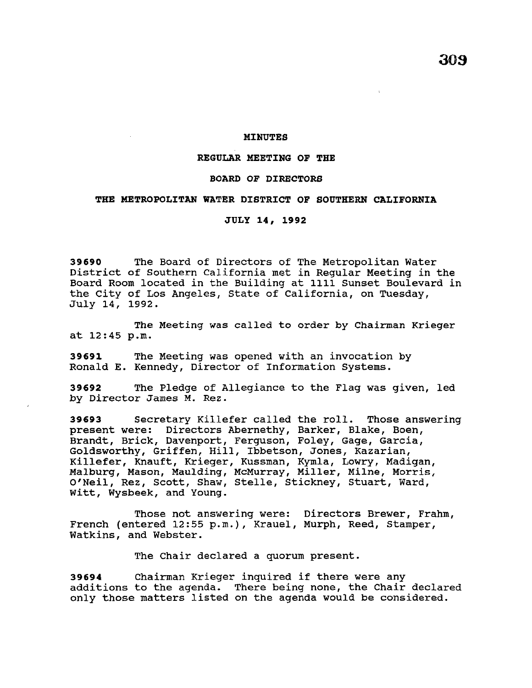**aos** 

### **MINUTES**

## **REGULAR MEETING OF THE**

## **BOARD OF DIRECTORS**

#### **THE METROPOLITAN WATER DISTRICT OF SOUTHERN CALIFORNIA**

**JULY 14, 1992** 

**39690** The Board of Directors of The Metropolitan Water District of Southern California met in Regular Meeting in the Board Room located in the Building at 1111 sunset Boulevard in the city of Los Angeles, State of California, on Tuesday, July 14, 1992.

The Meeting was called to order by Chairman Krieger at 12:45 p.m.

**39691** The Meeting was opened with an invocation by Ronald E. Kennedy, Director of Information Systems.

**39692** The Pledge of Allegiance to the Flag was given, led by Director James M. Rez.

**39693** Secretary Killefer called the roll. Those answering present were: Directors Abernethy, Barker, Blake, Boen, Brandt, Brick, Davenport, Ferguson, Foley, Gage, Garcia, Goldsworthy, Griffen, Hill, Ibbetson, Jones, Kazarian, Killefer, Knauft, Krieger, Kussman, Kymla, Lowry, Madigan, Malburg, Mason, Maulding, McMurray, Miller, Milne, Morris, O'Neil, Rez, Scott, Shaw, Stelle, Stickney, Stuart, Ward, Witt, Wysbeek, and Young.

Those not answering were: Directors Brewer, Frahm, French (entered 12:55 p.m.), Krauel, Murph, Reed, Stamper, Watkins, and Webster.

The Chair declared a quorum present.

**<sup>39694</sup>**Chairman Krieger inquired if there were any additions to the agenda. There being none, the Chair declared only those matters listed on the agenda would be considered.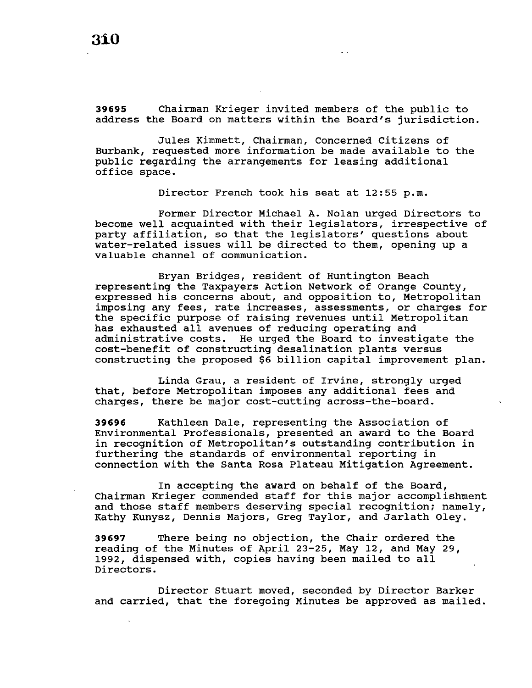**39695** Chairman Krieger invited members of the public to address the Board on matters within the Board's jurisdiction.

Jules Kimmett, Chairman, Concerned Citizens of Burbank, requested more information be made available to the public regarding the arrangements for leasing additional office space.

Director French took his seat at 12:55 p.m.

Former Director Michael A. Nolan urged Directors to become well acquainted with their legislators, irrespective of party affiliation, so that the legislators' questions about water-related issues will be directed to them, opening up a valuable channel of communication.

Bryan Bridges, resident of Huntington Beach representing the Taxpayers Action Network of Orange County, expressed his concerns about, and opposition to, Metropolitan imposing any fees, rate increases, assessments, or charges for the specific purpose of raising revenues until Metropolitan has exhausted all avenues of reducing operating and administrative costs. He urged the Board to investigate the cost-benefit of constructing desalination plants versus constructing the proposed \$6 billion capital improvement plan.

Linda Grau, a resident of Irvine, strongly urged that, before Metropolitan imposes any additional fees and charges, there be major cost-cutting across-the-board.

**39696** Kathleen Dale, representing the Association of Environmental Professionals, presented an award to the Board in recognition of Metropolitan's outstanding contribution in furthering the standards of environmental reporting in connection with the Santa Rosa Plateau Mitigation Agreement.

In accepting the award on behalf of the Board, Chairman Krieger commended staff for this major accomplishment and those staff members deserving special recognition; namely, Kathy Kunysz, Dennis Majors, Greg Taylor, and Jarlath Oley.

**39697** There being no objection, the Chair ordered the reading of the Minutes of April 23-25, May 12, and May 29, 1992, dispensed with, copies having been mailed to all Directors.

Director stuart moved, seconded by Director Barker and carried, that the foregoing Minutes be approved as mailed.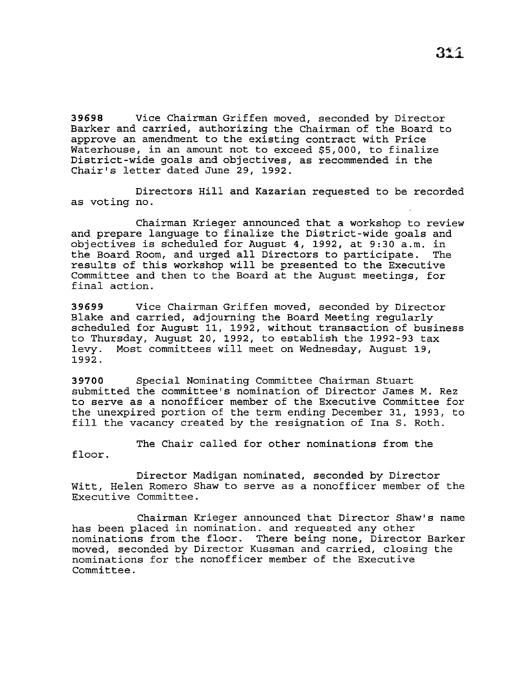**39698** Vice Chairman Griffen moved, seconded by Director Barker and carried, authorizing the Chairman of the Board to approve an amendment to the existing contract with Price Waterhouse, in an amount not to exceed \$5,000, to finalize District-wide goals and objectives, as recommended in the Chair's letter dated June 29, 1992.

Directors Hill and Kazarian requested to be recorded as voting no.

Chairman Krieger announced that a workshop to review and prepare language to finalize the District-wide goals and objectives is scheduled for August 4, 1992, at 9:30 a.m. in the Board Room, and urged all Directors to participate. The results of this workshop will be presented to the Executive Committee and then to the Board at the August meetings, for final action.

**39699** Vice Chairman Griffen moved, seconded by Director Blake and carried, adjourning the Board Meeting regularly scheduled for August 11, 1992, without transaction of business to Thursday, August 20, 1992, to establish the 1992-93 tax levy. Most committees will meet on Wednesday, August 19, 1992.

**39700** Special Nominating Committee Chairman Stuart submitted the committee's nomination of Director James M. Rez to serve as a nonofficer member of the Executive Committee for the unexpired portion of the term ending December 31, 1993, to fill the vacancy created by the resignation of Ina S. Roth.

The Chair called for other nominations from the floor.

Director Madigan nominated, seconded by Director Witt, Helen Romero Shaw to serve as a nonofficer member of the Executive Committee.

Chairman Krieger announced that Director Shaw's name has been placed in nomination. and requested any other nominations from the floor. There being none, Director Barker moved, seconded by Director Kussman and carried, closing the nominations for the nonofficer member of the Executive Committee.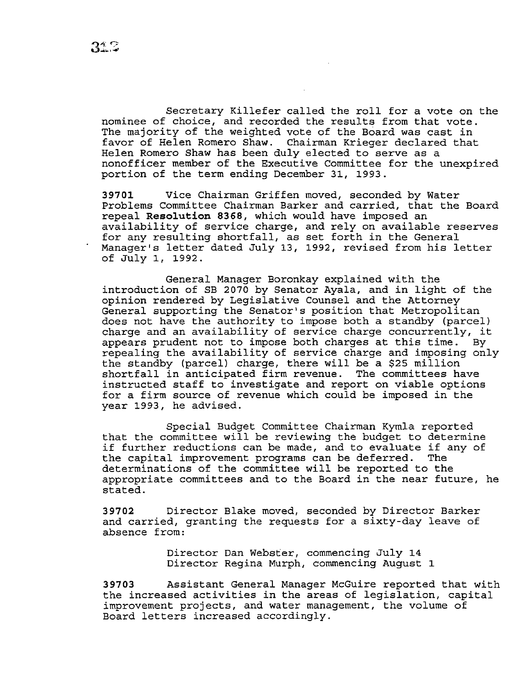Secretary Killefer called the roll for a vote on the nominee of choice, and recorded the results from that vote. The majority of the weighted vote of the Board was cast *in*  favor of Helen Romero Shaw. Chairman Krieger declared that Helen Romero Shaw has been duly elected to serve as a nonofficer member of the Executive Committee for the unexpired portion of the term ending December 31, 1993.

**39701** Vice Chairman Griffen moved, seconded by Water Problems Committee Chairman Barker and carried, that the Board repeal **Resolution 8368,** which would have imposed an availability of service charge, and rely on available reserves for any resulting shortfall, as set forth *in* the General Manager's letter dated July 13, 1992, revised from his letter of July 1, 1992.

General Manager Boronkay explained with the introduction of SB 2070 by Senator Ayala, and *in* light of the opinion rendered by Legislative Counsel and the Attorney General supporting the Senator's position that Metropolitan does not have the authority to impose both a standby (parcel) charge and an availability of service charge concurrently, it appears prudent not to impose both charges at this time. By repealing the availability of service charge and imposing only the standby (parcel) charge, there will be a \$25 million shortfall *in* anticipated firm revenue. The committees have instructed staff to investigate and report on viable options for a firm source of revenue which could be imposed *in* the year 1993, he advised.

Special Budget Committee Chairman Kymla reported that the committee will be reviewing the budget to determine if further reductions can be made, and to evaluate if any of<br>the capital improvement programs can be deferred. The the capital improvement programs can be deferred. determinations of the committee will be reported to the appropriate committees and to the Board in the near future, he stated.

**39702** Director Blake moved, seconded by Director Barker and carried, granting the requests for a sixty-day leave of absence from:

> Director Dan Webster, commencing July 14 Director Regina Murph, commencing August 1

**39703** Assistant General Manager McGuire reported that with the increased activities in the areas of legislation, capital improvement projects, and water management, the volume of Board letters increased accordingly.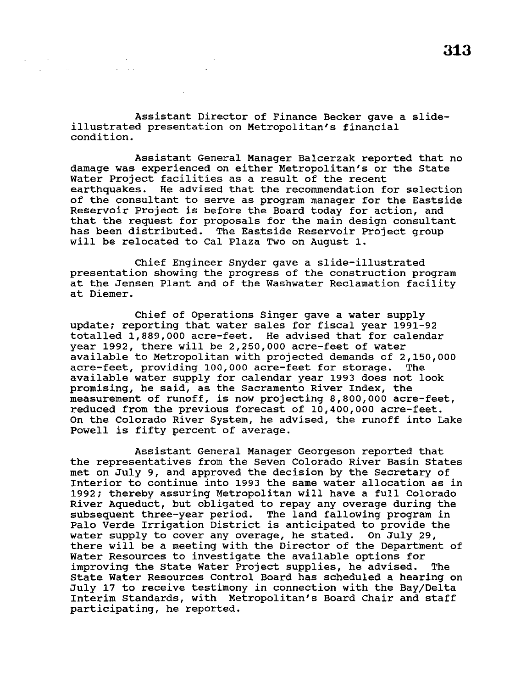Assistant Director of Finance Becker gave a slideillustrated presentation on Metropolitan's financial condition.

 $\Delta\omega_{\rm{eff}}$ 

**Contractor** 

Assistant General Manager Balcerzak reported that no damage was experienced on either Metropolitan's or the State Water Project facilities as a result of the recent earthquakes. He advised that the recommendation for selection of the consultant to serve as program manager for the Eastside Reservoir Project is before the Board today for action, and that the request for proposals for the main design consultant has been distributed. The Eastside Reservoir Project group will be relocated to Cal Plaza Two on August 1.

Chief Engineer Snyder gave a slide-illustrated presentation showing the progress of the construction program at the Jensen Plant and of the Washwater Reclamation facility at Diemer.

Chief of Operations Singer gave a water supply update; reporting that water sales for fiscal year 1991-92 totalled 1,889,000 acre-feet. He advised that for calendar year 1992, there will be 2,250,000 acre-feet of water available to Metropolitan with projected demands of 2,150,000 acre-feet, providing 100,000 acre-feet for storage. The available water supply for calendar year 1993 does not look promising, he said, as the Sacramento River Index, the measurement of runoff, is now projecting 8,800,000 acre-feet, reduced from the previous forecast of 10,400,000 acre-feet. On the Colorado River System, he advised, the runoff into Lake Powell is fifty percent of average.

Assistant General Manager Georgeson reported that the representatives from the Seven Colorado River Basin States met on July 9, and approved the decision by the Secretary of Interior to continue into 1993 the same water allocation as in 1992; thereby assuring Metropolitan will have a full Colorado River Aqueduct, but obligated to repay any overage during the subsequent three-year period. The land fallowing program in Palo Verde Irrigation District is anticipated to provide the water supply to cover any overage, he stated. On July 29, there will be a meeting with the Director of the Department of Water Resources to investigate the available options for improving the State Water Project supplies, he advised. The State Water Resources Control Board has scheduled a hearing on July 17 to receive testimony in connection with the Bay/Delta Interim standards, with Metropolitan's Board Chair and staff participating, he reported.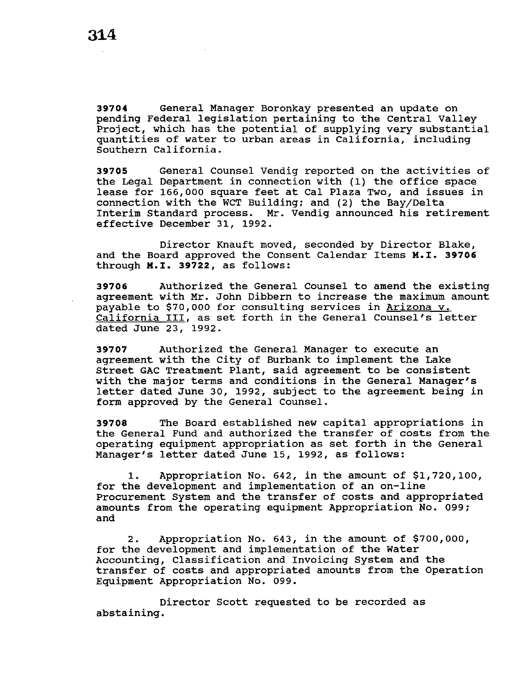**39704** General Manager Boronkay presented an update on pending Federal legislation pertaining to the Central Valley Project, which has the potential of supplying very substantial quantities of water to urban areas in California, including Southern California.

**39705** General Counsel Vendig reported on the activities of the Legal Department in connection with (1) the office space lease for 166,000 square feet at Cal Plaza Two, and issues in connection with the WCT Building; and (2) the Bay/Delta Interim Standard process. Mr. Vendig announced his retirement effective December 31, 1992.

Director Knauft moved, seconded by Director Blake, and the Board approved the Consent Calendar Items M.I. **39706**  through **M.I. 39722,** as follows:

**39706** Authorized the General Counsel to amend the existing agreement with Mr. John Dibbern to increase the maximum amount payable to \$70,000 for consulting services in Arizona v. California III, as set forth in the General Counsel's letter dated June 23, 1992.

**39707** Authorized the General Manager to execute an agreement with the City of Burbank to implement the Lake Street GAC Treatment Plant, said agreement to be consistent with the major terms and conditions in the General Manager's letter dated June 30, 1992, subject to the agreement being in form approved by the General Counsel.

**39708** The Board established new capital appropriations in the General Fund and authorized the transfer of costs from the operating equipment appropriation as set forth in the General Manager's letter dated June 15, 1992, as follows:

1. Appropriation No. 642, in the amount of \$1,720,100, for the development and implementation of an on-line Procurement System and the transfer of costs and appropriated amounts from the operating equipment Appropriation No. 099; and

2. Appropriation No. 643, in the amount of \$700,000, for the development and implementation of the Water Accounting, Classification and Invoicing System and the transfer of costs and appropriated amounts from the Operation Equipment Appropriation No. 099.

Director Scott requested to be recorded as abstaining.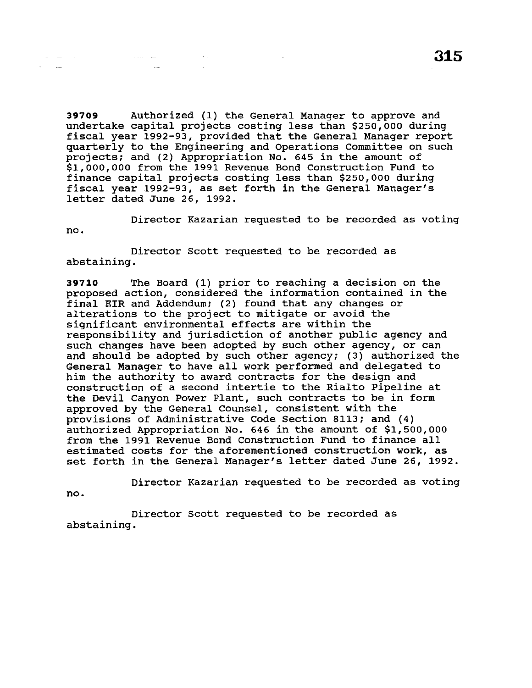**39709** Authorized (1) the General Manager to approve and undertake capital projects costing less than \$250,000 during fiscal year 1992-93, provided that the General Manager report quarterly to the Engineering and Operations Committee on such projects; and (2) Appropriation No. 645 in the amount of \$1,000,000 from the 1991 Revenue Bond Construction Fund to finance capital projects costing less than \$250,000 during fiscal year 1992-93, as set forth in the General Manager's letter dated June 26, 1992.

 $\sim 10^{11}$  km  $^{-1}$ 

Director Kazarian requested to be recorded as voting no.

Director Scott requested to be recorded as abstaining.

**Collection** 

**Contract Contract** 

**39710** The Board (1) prior to reaching a decision on the proposed action, considered the information contained in the final EIR and Addendum; (2) found that any changes or alterations to the project to mitigate or avoid the significant environmental effects are within the responsibility and jurisdiction of another public agency and such changes have been adopted by such other agency, or can and should be adopted by such other agency; (3) authorized the General Manager to have all work performed and delegated to him the authority to award contracts for the design and construction of a second intertie to the Rialto Pipeline at the Devil Canyon Power Plant, such contracts to be in form approved by the General Counsel, consistent with the provisions of Administrative Code Section 8113; and (4) authorized Appropriation No. 646 in the amount of \$1,500,000 from the 1991 Revenue Bond Construction Fund to finance all estimated costs for the aforementioned construction work, as set forth in the General Manager's letter dated June 26, 1992.

Director Kazarian requested to be recorded as voting no.

Director Scott requested to be recorded as abstaining.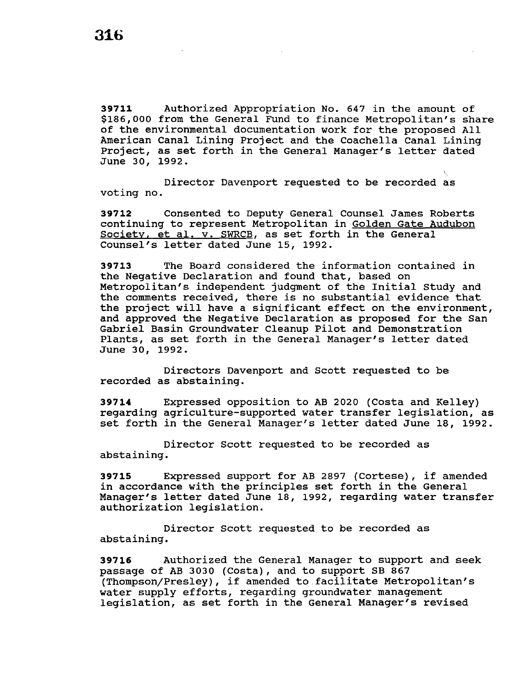**39711** Authorized Appropriation No. 647 in the amount of \$186,000 from the General Fund to finance Metropolitan's share of the environmental documentation work for the proposed All American Canal Lining Project and the Coachella Canal Lining Project, as set forth in the General Manager's letter dated June 30, 1992.

Director Davenport requested to be recorded as voting no.

**39712** Consented to Deputy General Counsel James Roberts continuing to represent Metropolitan in Golden Gate Audubon Society. et al. v. SWRCB, as set forth in the General Counsel's letter dated June 15, 1992.

**39713** The Board considered the information contained in the Negative Declaration and found that, based on Metropolitan's independent judgment of the Initial study and the comments received, there is no substantial evidence that the project will have a significant effect on the environment, and approved the Negative Declaration as proposed for the San Gabriel Basin Groundwater Cleanup Pilot and Demonstration Plants, as set forth in the General Manager's letter dated June 30, 1992.

Directors Davenport and Scott requested to be recorded as abstaining.

**39714**  regarding agriculture-supported water transfer legislation, as set forth in the General Manager's letter dated June 18, 1992. Expressed opposition to AB 2020 (Costa and Kelley)

Director Scott requested to be recorded as abstaining.

**<sup>39715</sup>**Expressed support for AB 2897 (Cortese), if amended in accordance with the principles set forth in the General Manager's letter dated June 18, 1992, regarding water transfer authorization legislation.

Director Scott requested to be recorded as abstaining.

**39716** Authorized the General Manager to support and seek passage of AB 3030 (Costa), and to support SB 867 (Thompsen/Presley), if amended to.facilitate Metropolitan's water supply efforts, regarding groundwater management legislation, as set forth in the General Manager's revised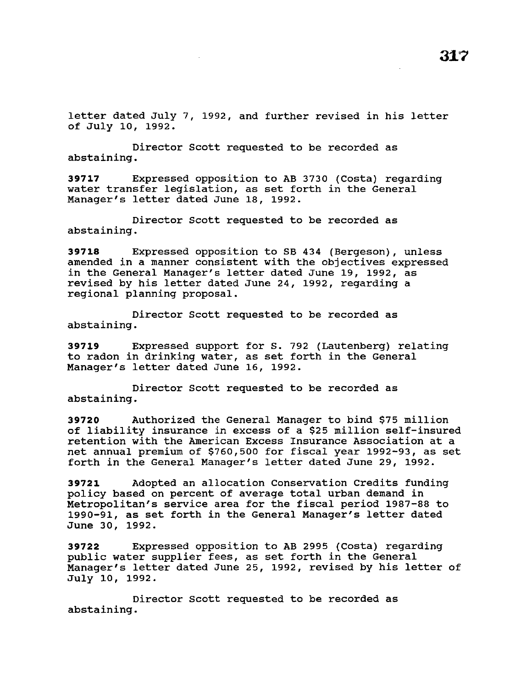letter dated July 7, 1992, and further revised in his letter of July 10, 1992.

Director Scott requested to be recorded as abstaining.

**39717** Expressed opposition to AB 3730 (Costa) regarding water transfer legislation, as set forth in the General Manager's letter dated June 18, 1992.

Director Scott requested to be recorded as abstaining.

**39718** Expressed opposition to SB 434 (Bergeson), unless amended in a manner consistent with the objectives expressed in the General Manager's letter dated June 19, 1992, as revised by his letter dated June 24, 1992, regarding a regional planning proposal.

Director Scott requested to be recorded as abstaining.

**39719** Expressed support for s. 792 (Lautenberg) relating to radon in drinking water, as set forth in the General Manager's letter dated June 16, 1992.

Director Scott requested to be recorded as abstaining.

**39720** Authorized the General Manager to bind \$75 million of liability insurance in excess of a \$25 million self-insured retention with the American Excess Insurance Association at a net annual premium of \$760,500 for fiscal year 1992-93, as set forth in the General Manager's letter dated June 29, 1992.

**39721** Adopted an allocation Conservation Credits funding policy based on percent of average total urban demand in Metropolitan's service area for the fiscal period 1987-88 to 1990-91, as set forth in the General Manager's letter dated June 30, 1992.

**39722** Expressed opposition to AB 2995 (Costa) regarding public water supplier fees, as set forth in the General Manager's letter dated June 25, 1992, revised by his letter of July 10, 1992.

Director Scott requested to be recorded as abstaining.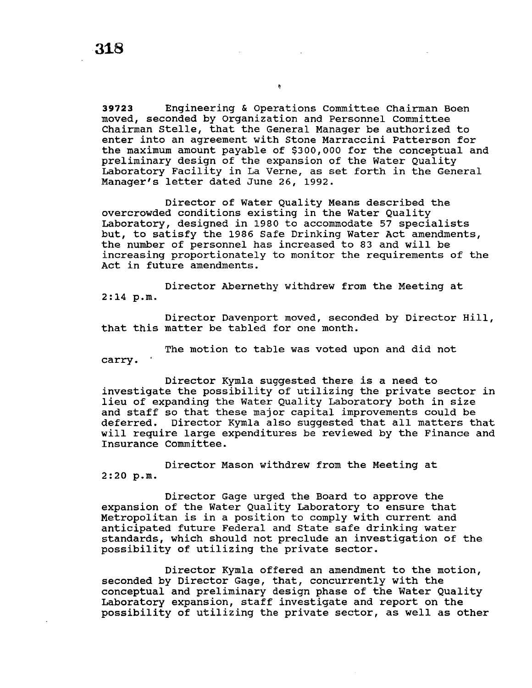**39723** Engineering & Operations Committee Chairman Boen moved, seconded by Organization and Personnel Committee Chairman Stelle, that the General Manager be authorized to enter into an agreement with Stone Marraccini Patterson for the maximum amount payable of \$300,000 for the conceptual and preliminary design of the expansion of the Water Quality Laboratory Facility in La Verne, as set forth in the General Manager's letter dated June 26, 1992.

 $\pmb{\alpha}$ 

Director of Water Quality Means described the overcrowded conditions existing in the Water Quality Laboratory, designed in 1980 to accommodate 57 specialists but, to satisfy the 1986 Safe Drinking Water Act amendments, the number of personnel has increased to 83 and will be increasing proportionately to monitor the requirements of the Act in future amendments.

Director Abernethy withdrew from the Meeting at 2:14 p.m.

Director Davenport moved, seconded by Director Hill, that this matter be tabled for one month.

The motion to table was voted upon and did not carry.

Director Kymla suggested there is a need to investigate the possibility of utilizing the private sector in lieu of expanding the Water Quality Laboratory both in size and staff so that these major capital improvements could be deferred. Director Kymla also suggested that all matters that will require large expenditures be reviewed by the Finance and Insurance Committee.

Director Mason withdrew from the Meeting at 2:20 p.m.

Director Gage urged the Board to approve the expansion of the Water Quality Laboratory to ensure that Metropolitan is in a position to comply with current and anticipated future Federal and State safe drinking water standards, which should not preclude an investigation of the possibility of utilizing the private sector.

Director Kymla offered an amendment to the motion, seconded by Director Gage, that, concurrently with the conceptual and preliminary design phase of the Water Quality Laboratory expansion, staff investigate and report on the possibility of utilizing the private sector, as well as other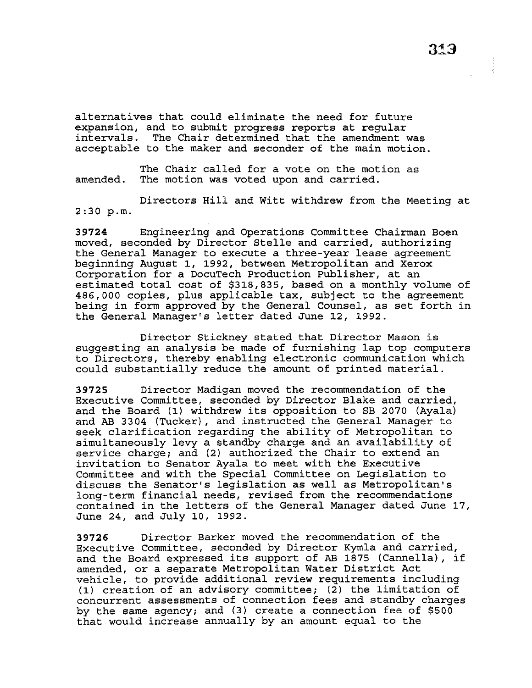alternatives that could eliminate the need for future expansion, and to submit progress reports at regular intervals. The Chair determined that the amendment was acceptable to the maker and seconder of the main motion.

The Chair called for a vote on the motion as amended. The motion was voted upon and carried.

Directors Hill and Witt withdrew from the Meeting at 2:30 p.m.

**39724** Engineering and Operations Committee Chairman Boen moved, seconded by Director Stelle and carried, authorizing the General Manager to execute a three-year lease agreement beginning August 1, 1992, between Metropolitan and Xerox Corporation for a DocuTech Production Publisher, at an estimated total cost of \$318,835, based on a monthly volume of 486,000 copies, plus applicable tax, subject to the agreement being in form approved by the General Counsel, as set forth in the General Manager's letter dated June 12, 1992.

Director Stickney stated that Director Mason is suggesting an analysis be made of furnishing lap top computers to Directors, thereby enabling electronic communication which could substantially reduce the amount of printed material.

**39725** Director Madigan moved the recommendation of the Executive Committee, seconded by Director Blake and carried, and the Board (1) withdrew its opposition to SB 2070 (Ayala) and AB 3304 (Tucker), and instructed the General Manager to seek clarification regarding the ability of Metropolitan to simultaneously levy a standby charge and an availability of service charge; and (2) authorized the Chair to extend an invitation to Senator Ayala to meet with the Executive Committee and with the Special Committee on Legislation to discuss the Senator's legislation as well as Metropolitan's long-term financial needs, revised from the recommendations contained in the letters of the General Manager dated June 17, June 24, and July 10, 1992.

**39726** Director Barker moved the recommendation of the Executive Committee, seconded by Director Kymla and carried, and the Board expressed its support of AB 1875 (Cannella), if amended, or a separate Metropolitan Water District Act vehicle, to provide additional review requirements including (1) creation of an advisory committee; (2) the limitation of concurrent assessments of connection fees and standby charges by the same agency; and (3) create a connection fee of \$500 that would increase annually by an amount equal to the

 $\frac{1}{4}$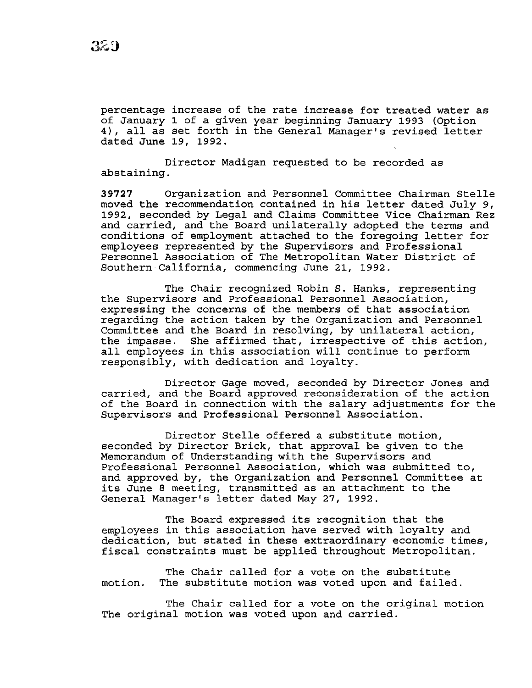percentage increase of the rate increase for treated water as of January 1 of a given year beginning January 1993 (Option 4), all as set forth in the General Manager's revised letter dated June 19, 1992.

Director Madigan requested to be recorded as abstaining.

**39727** Organization and Personnel Committee Chairman Stelle moved the recommendation contained in his letter dated July 9, 1992, seconded by Legal and Claims Committee Vice Chairman Rez and carried, and the Board unilaterally adopted the terms and conditions of employment attached to the foregoing letter for employees represented by the Supervisors and Professional Personnel Association of The Metropolitan Water District of Southern California, commencing June 21, 1992.

The Chair recognized Robin S. Hanks, representing the Supervisors and Professional Personnel Association, expressing the concerns of the members of that association regarding the action taken by the Organization and Personnel Committee and the Board in resolving, by unilateral action, the impasse. She affirmed that, irrespective of this action, all employees in this association will continue to perform responsibly, with dedication and loyalty.

Director Gage moved, seconded by Director Jones and carried, and the Board approved reconsideration of the action of the Board in connection with the salary adjustments for the Supervisors and Professional Personnel Association.

Director Stelle offered a substitute motion, seconded by Director Brick, that approval be given to the Memorandum of Understanding with the Supervisors and Professional Personnel Association, which was submitted to, and approved by, the Organization and Personnel Committee at its June 8 meeting, transmitted as an attachment to the General Manager's letter dated May 27, 1992.

The Board expressed its recognition that the employees in this association have served with loyalty and dedication, but stated in these extraordinary economic times, fiscal constraints must be applied throughout Metropolitan.

The Chair called for a vote on the substitute motion. The substitute motion was voted upon and failed.

The Chair called for a vote on the original motion The original motion was voted upon and carried.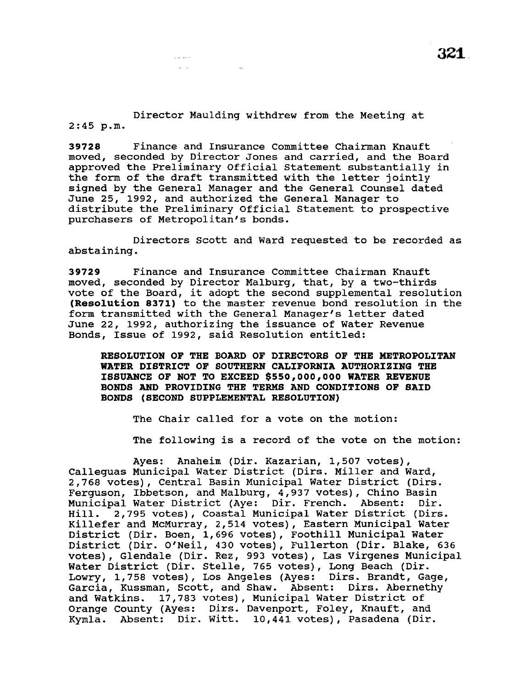Director Maulding withdrew from the Meeting at 2:45 p.m.

 $\epsilon = \pm 1$  .  $\Delta \sim 10^7$ 

**39728** Finance and Insurance committee Chairman Knauft moved, seconded by Director Jones and carried, and the Board approved the Preliminary Official statement substantially in the form of the draft transmitted with the letter jointly signed by the General Manager and the General Counsel dated June 25, 1992, and authorized the General Manager to distribute the Preliminary Official Statement to prospective purchasers of Metropolitan's bonds.

Directors Scott and Ward requested to be recorded as abstaining.

**39729** Finance and Insurance Committee Chairman Knauft moved, seconded by Director Malburg, that, by a two-thirds vote of the Board, it adopt the second supplemental resolution **(Resolution 8371)** to the master revenue bond resolution in the form transmitted with the General Manager's letter dated June 22, 1992, authorizing the issuance of Water Revenue Bonds, Issue of 1992, said Resolution entitled:

**RESOLUTION OF THE BOARD OF DIRECTORS OF THE METROPOLITAN WATER DISTRICT OF SOUTHERN CALIFORNIA AUTHORIZING THE ISSUANCE OF NOT TO EXCEED \$550,000 <sup>1</sup> 000 WATER REVENUE BONDS AND PROVIDING THE TERMS AND CONDITIONS OF SAID BONDS (SECOND SUPPLEMENTAL RESOLUTION)** 

The Chair called for a vote on the motion:

The following is a record of the vote on the motion:

Ayes: Anaheim (Dir. Kazarian, 1,507 votes), Calleguas Municipal Water District (Dirs. Miller and Ward, 2,768 votes), Central Basin Municipal Water District (Dirs. Ferguson, Ibbetson, and Malburg, 4,937 votes), Chino Basin<br>Municipal Water District (Aye: Dir. French. Absent: Dir. Municipal Water District (Aye: Dir. French. Absent: Hill. 2,795 votes), Coastal Municipal Water District (Dirs. Killefer and McMurray, 2,514 votes), Eastern Municipal Water District (Dir. Boen, 1,696 votes), Foothill Municipal Water District (Dir. O'Neil, 430 votes), Fullerton (Dir. Blake, 636 votes), Glendale (Dir. Rez, 993 votes), Las Virgenes Municipal Water District (Dir. Stelle, 765 votes), Long Beach (Dir. Lowry, 1,758 votes), Los Angeles (Ayes: Dirs. Brandt, Gage, Garcia, Kussman, Scott, and Shaw. Absent: Dirs. Abernethy and Watkins. 17,783 votes), Municipal Water District of Orange county (Ayes: Dirs. Davenport, Foley, Knauft, and Kymla. Absent: Dir. Witt. 10,441 votes), Pasadena (Dir.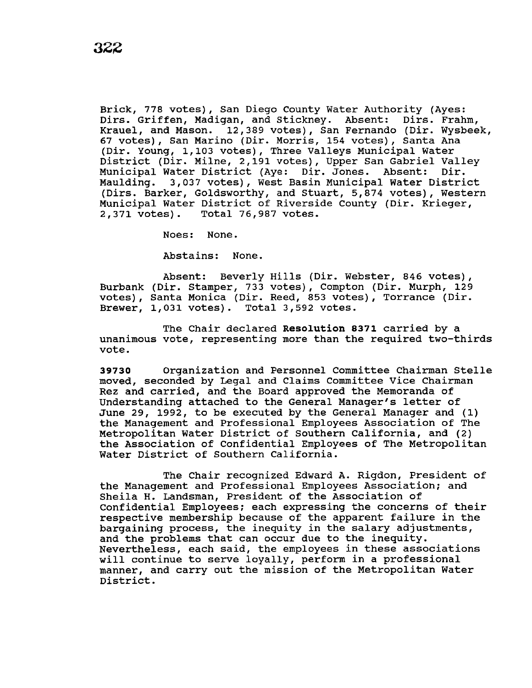Brick, 778 votes), San Diego County Water Authority (Ayes: Dirs. Griffen, Madigan, and Stickney. Absent: Dirs. Frahm, Krauel, and Mason. 12,389 votes), San Fernando (Dir. Wysbeek, 67 votes), San Marino (Dir. Morris, 154 votes), Santa Ana (Dir. Young, 1,103 votes), Three Valleys Municipal water District (Dir. Milne, 2,191 votes), Upper San Gabriel Valley Municipal Water District (Aye: Dir. Jones. Absent: Dir. Maulding. 3,037 votes), West Basin Municipal Water District (Dirs. Barker, Goldsworthy, and stuart, 5,874 votes), Western Municipal Water District of Riverside County (Dir. Krieger, 2,371 votes). Total 76,987 votes. 2,371 votes). Total 76,987 votes.

Noes: None.

Abstains: None.

Absent: Beverly Hills (Dir. Webster, 846 votes), Burbank (Dir. Stamper, 733 votes), Compton (Dir. Murph, 129 votes), Santa Monica (Dir. Reed, 853 votes), Torrance (Dir. Brewer, 1,031 votes). Total 3,592 votes.

The Chair declared **Resolution 8371** carried by a unanimous vote, representing more than the required two-thirds vote.

**39730** Organization and Personnel Committee Chairman Stelle moved, seconded by Legal and Claims Committee Vice Chairman Rez and carried, and the Board approved the Memoranda of Understanding attached to the General Manager's letter of June 29, 1992, to be executed by the General Manager and (1) the Management and Professional Employees Association of The Metropolitan water District of Southern California, and (2) the Association of confidential Employees of The Metropolitan Water District of Southern California.

The Chair recognized Edward A. Rigdon, President of the Management and Professional Employees Association; and Sheila H. Landsman, President of the Association of Confidential Employees; each expressing the concerns of their respective membership because of the apparent failure in the bargaining process, the inequity in the salary adjustments, and the problems that can occur due to the inequity. Nevertheless, each said, the employees in these associations will continue to serve loyally, perform in a professional manner, and carry out the mission of the Metropolitan Water District.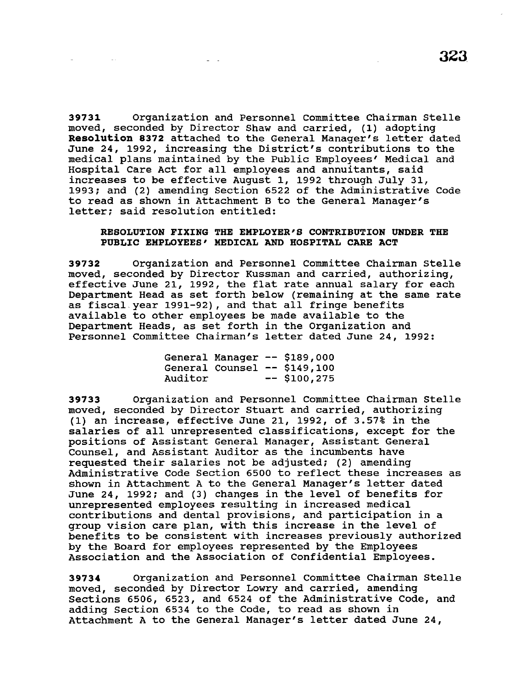**39731** Organization and Personnel Committee Chairman Stelle moved, seconded by Director Shaw and carried, (1) adopting **Resolution 8372** attached to the General Manager's letter dated June 24, 1992, increasing the District's contributions to the medical plans maintained by the Public Employees' Medical and Hospital Care Act for all employees and annuitants, said increases to be effective August 1, 1992 through July 31, 1993; and (2) amending Section 6522 of the Administrative Code to read as shown in Attachment B to the General Manager's letter; said resolution entitled:

# **RESOLUTION FIXING THE EMPLOYER'S CONTRIBUTION UNDER THE PUBLIC EMPLOYEES' MEDICAL AND HOSPITAL CARE ACT**

**39732** Organization and Personnel Committee Chairman Stelle moved, seconded by Director Kussman and carried, authorizing, effective June 21, 1992, the flat rate annual salary for each Department Head as set forth below (remaining at the same rate as fiscal. year 1991-92), and that all fringe benefits available to other employees be made available to the Department Heads, as set forth in the Organization and Personnel Committee Chairman's letter dated June 24, 1992:

|         |  | General Manager -- \$189,000 |
|---------|--|------------------------------|
|         |  | General Counsel -- \$149,100 |
| Auditor |  | $--$ \$100,275               |

**39733** Organization and Personnel Committee Chairman Stelle moved, seconded by Director Stuart and carried, authorizing (1) an increase, effective June 21, 1992, of 3.57% in the salaries of all unrepresented classifications, except for the positions of Assistant General Manager, Assistant General Counsel, and Assistant Auditor as the incumbents have requested their salaries not be adjusted; (2) amending Administrative Code Section 6500 to reflect these increases as shown in Attachment A to the General Manager's letter dated June 24, 1992; and (3) changes in the level of benefits for unrepresented employees resulting in increased medical contributions and dental provisions, and participation in a group vision care plan, with this increase in the level of benefits to be consistent with increases previously authorized by the Board for employees represented by the Employees Association and the Association of Confidential Employees.

**39734** Organization and Personnel Committee Chairman Stelle moved, seconded by Director Lowry and carried, amending Sections 6506, 6523, and 6524 of the Administrative Code, and adding Section 6534 to the Code, to read as shown in Attachment A to the General Manager's letter dated June 24,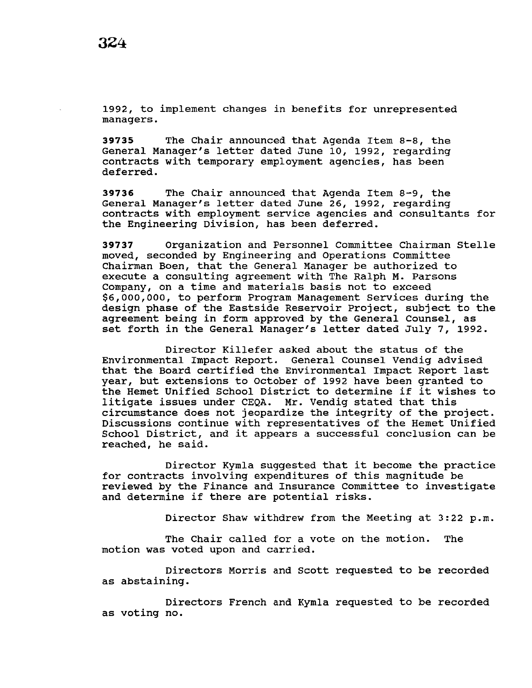1992, to implement changes in benefits for unrepresented managers.

**39735** The Chair announced that Agenda Item 8-8, the General Manager's letter dated June 10, 1992, regarding contracts with temporary employment agencies, has been deferred.

**39736** The Chair announced that Agenda Item 8-9, the General Manager's letter dated June 26, 1992, regarding contracts with employment service agencies and consultants for the Engineering Division, has been deferred.

**39737** Organization and Personnel Committee Chairman Stelle moved, seconded by Engineering and Operations Committee Chairman Been, that the General Manager be authorized to execute a consulting agreement with The Ralph M. Parsons Company, on a time and materials basis not to exceed \$6,000,000, to perform Program Management Services during the design phase of the Eastside Reservoir Project, subject to the agreement being in form approved by the General Counsel, as set forth in the General Manager's letter dated July 7, 1992.

Director Killefer asked about the status of the Environmental Impact Report. General Counsel Vendig advised that the Board certified the Environmental Impact Report last year, but extensions to October of 1992 have been granted to the Hemet Unified School District to determine if it wishes to litigate issues under CEQA. Mr. Vendig stated that this circumstance does not jeopardize the integrity of the project. Discussions continue with representatives of the Hemet Unified School District, and it appears a successful conclusion can be reached, he said.

Director Kymla suggested that it become the practice for contracts involving expenditures of this magnitude be reviewed by the Finance and Insurance Committee to investigate and determine if there are potential risks.

Director Shaw withdrew from the Meeting at 3:22 p.m.

The Chair called for a vote on the motion. The motion was voted upon and carried.

Directors Morris and Scott requested to be recorded as abstaining.

Directors French and Kymla requested to be recorded as voting no.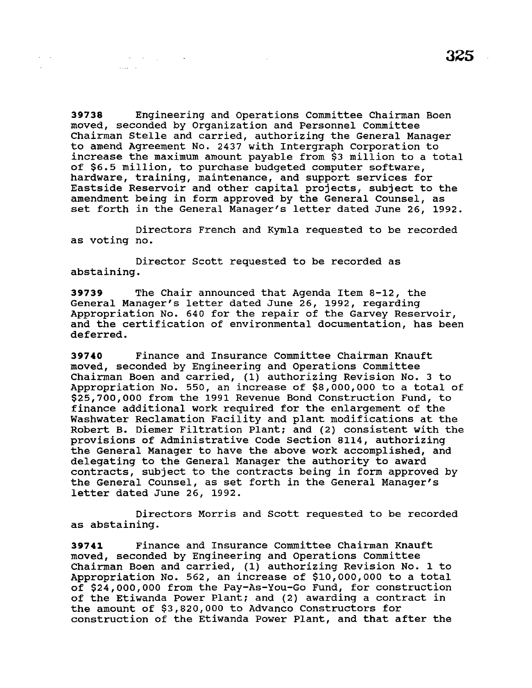**39738** Engineering and Operations Committee Chairman Boen moved, seconded by Organization and Personnel Committee Chairman Stelle and carried, authorizing the General Manager to amend Agreement No. 2437 with Intergraph corporation to increase the maximum amount payable from \$3 million to a total of \$6.5 million, to purchase budgeted computer software, hardware, training, maintenance, and support services for Eastside Reservoir and other capital projects, subject to the amendment being in form approved by the General Counsel, as set forth in the General Manager's letter dated June 26, 1992.

 $\sim 1000$ 

Directors French and Kymla requested to be recorded as voting no.

Director Scott requested to be recorded as abstaining.

 $\mathcal{L}^{\mathcal{L}}(\mathcal{L}^{\mathcal{L}}(\mathcal{L}^{\mathcal{L}}(\mathcal{L}^{\mathcal{L}}(\mathcal{L}^{\mathcal{L}}(\mathcal{L}^{\mathcal{L}}(\mathcal{L}^{\mathcal{L}}(\mathcal{L}^{\mathcal{L}}(\mathcal{L}^{\mathcal{L}}(\mathcal{L}^{\mathcal{L}}(\mathcal{L}^{\mathcal{L}}(\mathcal{L}^{\mathcal{L}}(\mathcal{L}^{\mathcal{L}}(\mathcal{L}^{\mathcal{L}}(\mathcal{L}^{\mathcal{L}}(\mathcal{L}^{\mathcal{L}}(\mathcal{L}^{\mathcal{L$ 

**Contractor** 

**39739** The Chair announced that Agenda Item 8-12, the General Manager's letter dated June 26, 1992, regarding Appropriation No. 640 for the repair of the Garvey Reservoir, and the certification of environmental documentation, has been deferred.

**39740** Finance and Insurance Committee Chairman Knauft moved, seconded by Engineering and Operations Committee Chairman Boen and carried, (1) authorizing Revision No. 3 to Appropriation No. 550, an increase of \$8,000,000 to a total of \$25,700,000 from the 1991 Revenue Bond Construction Fund, to finance additional work required for the enlargement of the Washwater Reclamation Facility and plant modifications at the Robert B. Diemer Filtration Plant: and (2) consistent with the provisions of Administrative Code Section 8114, authorizing the General Manager to have the above work accomplished, and delegating to the General Manager the authority to award contracts, subject to the contracts being in form approved by the General Counsel, as set forth in the General Manager's letter dated June 26, 1992.

Directors Morris and Scott requested to be recorded as abstaining.

**39741** Finance and Insurance Committee Chairman Knauft moved, seconded by Engineering and Operations Committee Chairman Boen and carried, (1) authorizing Revision No. 1 to Appropriation No. 562, an increase of \$10,000,000 to a total of \$24,000,000 from the Pay-As-You-Go Fund, for construction of the Etiwanda Power Plant: and (2) awarding a contract in the amount of \$3,820,000 to Advance Constructors for construction of the Etiwanda Power Plant, and that after the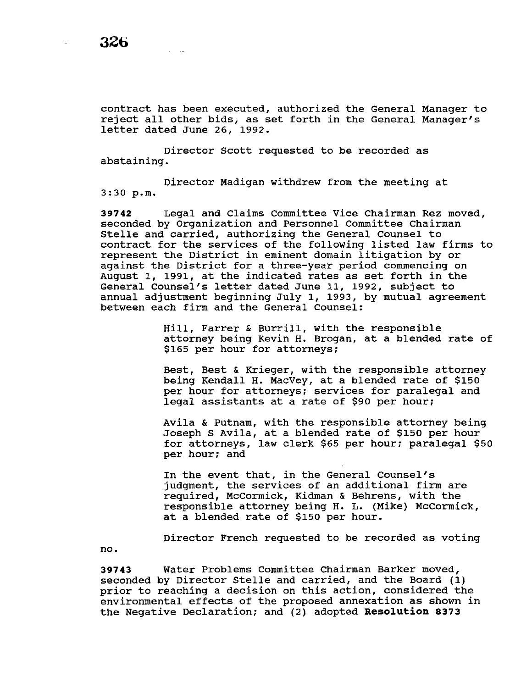no.

contract has been executed, authorized the General Manager to reject all other bids, as set forth in the General Manager's letter dated June 26, 1992.

Director Scott requested to be recorded as abstaining.

Director Madigan withdrew from the meeting at 3:30 p.m.

**39742** Legal and Claims Committee Vice Chairman Rez moved, seconded by Organization and Personnel Committee Chairman Stelle and carried, authorizing the General Counsel to contract for the services of the following listed law firms to represent the District in eminent domain litigation by or against the District for a three-year period commencing on August 1, 1991, at the indicated rates as set forth in the General Counsel's letter dated June 11, 1992, subject to annual adjustment beginning July 1, 1993, by mutual agreement between each firm and the General Counsel:

> Hill, Farrer & Burrill, with the responsible attorney being Kevin H. Brogan, at a blended rate of \$165 per hour for attorneys;

Best, Best & Krieger, with the responsible attorney being Kendall H. MacVey, at a blended rate of \$150 per hour for attorneys; services for paralegal and legal assistants at a rate of \$90 per hour;

Avila & Putnam, with the responsible attorney being Joseph s Avila, at a blended rate of \$150 per hour for attorneys, law clerk \$65 per hour; paralegal \$50 per hour; and

In the event that, in the General Counsel's judgment, the services of an additional firm are required, McCormick, Kidman & Behrens, with the responsible attorney being H. L. (Mike) McCormick, at a blended rate of \$150 per hour.

Director French requested to be recorded as voting

**39743** Water Problems Committee Chairman Barker moved, seconded by Director Stelle and carried, and the Board (1) prior to reaching a decision on this action, considered the environmental effects of the proposed annexation as shown *in*  the Negative Declaration; and (2) adopted **Resolution 8373**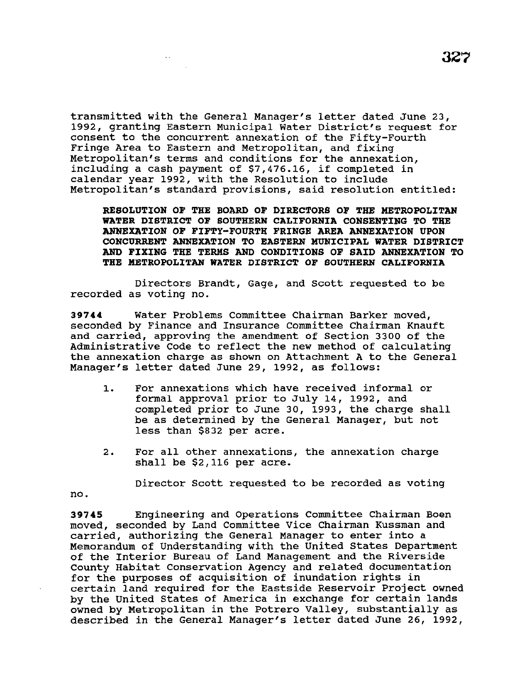transmitted with the General Manager's letter dated June 23, 1992, granting Eastern Municipal Water District's request for consent to the concurrent annexation of the Fifty-Fourth Fringe Area to Eastern and Metropolitan, and fixing Metropolitan's terms and conditions for the annexation, including a cash payment of \$7,476.16, if completed in calendar year 1992, with the Resolution to include Metropolitan's standard provisions, said resolution entitled:

**RESOLUTION OF THE BOARD OF DIRECTORS OF THE METROPOLITAN WATER DISTRICT OF SOUTHERN CALIFORNIA CONSENTING TO THE ANNEXATION OF FIFTY-FOURTH FRINGE AREA ANNEXATION UPON CONCURRENT ANNEXATION TO EASTERN MUNICIPAL WATER DISTRICT AND FIXING THE TERMS AND CONDITIONS OF SAID ANNEXATION TO THE METROPOLITAN WATER DISTRICT OF SOUTHERN CALIFORNIA** 

Directors Brandt, Gage, and Scott requested to be recorded as voting no.

**39744** water Problems Committee Chairman Barker moved, seconded by Finance and Insurance Committee Chairman Knauft and carried, approving the amendment of Section 3300 of the Administrative Code to reflect the new method of calculating the annexation charge as shown on Attachment A to the General Manager's letter dated June 29, 1992, as follows:

- 1. For annexations which have received informal or formal approval prior to July 14, 1992, and completed prior to June 30, 1993, the charge shall be as determined by the General Manager, but not less than \$832 per acre.
- 2. For all other annexations, the annexation charge shall be \$2,116 per acre.

Director Scott requested to be recorded as voting

no.

**39745** Engineering and Operations Committee Chairman Been moved, seconded by Land Committee Vice Chairman Kussman and carried, authorizing the General Manager to enter into a Memorandum of Understanding with the United States Department of the Interior Bureau of Land Management and the Riverside county Habitat Conservation Agency and related documentation for the purposes of acquisition of inundation rights in certain land required for the Eastside Reservoir Project owned by the United States of America in exchange for certain lands owned by Metropolitan in the Potrero Valley, substantially as described in the General Manager's letter dated June 26, 1992,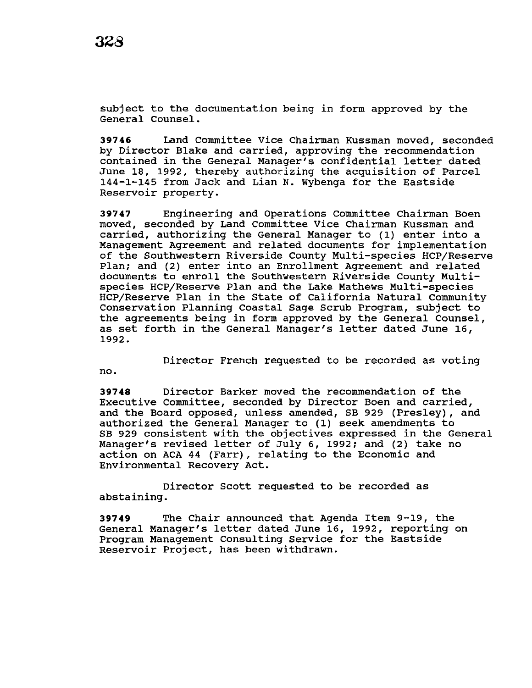subject to the documentation being in form approved by the General counsel.

**39746** Land Committee Vice Chairman Kussman moved, seconded by Director Blake and carried, approving the recommendation contained in the General Manager's confidential letter dated June 18, 1992, thereby authorizing the acquisition of Parcel 144-1-145 from Jack and Lian N. Wybenga for the Eastside Reservoir property.

**39747** Engineering and Operations Committee Chairman Boen moved, seconded by Land Committee Vice Chairman Kussman and carried, authorizing the General Manager to (1) enter into a Management Agreement and related documents for implementation of the Southwestern Riverside County Multi-species HCP/Reserve Plan; and (2) enter into an Enrollment Agreement and related documents to enroll the Southwestern Riverside County Multispecies HCP/Reserve Plan and the Lake Mathews Multi-species HCP/Reserve Plan in the State of California Natural Community Conservation Planning Coastal Sage Scrub Program, subject to the agreements being in form approved by the General Counsel, as set forth in the General Manager's letter dated June 16, 1992.

Director French requested to be recorded as voting

no.

**39748** Director Barker moved the recommendation of the Executive Committee, seconded by Director Boen and carried, and the Board opposed, unless amended, SB 929 (Presley), and authorized the General Manager to (1) seek amendments to SB 929 consistent with the objectives expressed in the General Manager's revised letter of July 6, 1992; and (2) take no action on ACA 44 (Farr), relating to the Economic and Environmental Recovery Act.

Director Scott requested to be recorded as abstaining.

**39749** The Chair announced that Agenda Item 9-19, the General Manager's letter dated June 16, 1992, reporting on Program Management Consulting Service for the Eastside Reservoir Project, has been withdrawn.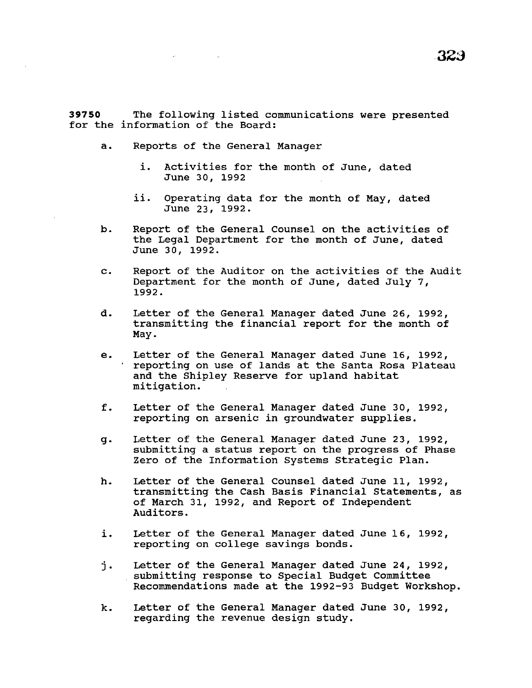**39750** The following listed communications were presented for the information of the Board:

- a. Reports of the General Manager
	- i. Activities for the month of June, dated June 30, 1992
	- ii. Operating data for the month of May, dated June 23, 1992.
- b. Report of the General Counsel on the activities of the Legal Department for the month of June, dated June 30, 1992.
- c. Report of the Auditor on the activities of the Audit Department for the month of June, dated July 7, 1992.
- d. Letter of the General Manager dated June 26, 1992, transmitting the financial report for the month of May.
- e. Letter of the General Manager dated June 16, 1992, reporting on use of lands at the Santa Rosa Plateau and the Shipley Reserve for upland habitat mitigation.
- f. Letter of the General Manager dated June 30, 1992, reporting on arsenic in groundwater supplies.
- g. Letter of the General Manager dated June 23, 1992, submitting a status report on the progress of Phase Zero of the Information systems Strategic Plan.
- h. Letter of the General counsel dated June 11, 1992, transmitting the Cash Basis Financial Statements, as of March 31, 1992, and Report of Independent Auditors.
- i. Letter of the General Manager dated June 16, 1992, reporting on college savings bonds.
- j. Letter of the General Manager dated June 24, 1992, submitting response to Special Budget Committee Recommendations made at the 1992-93 Budget Workshop.
- k. Letter of the General Manager dated June 30, 1992, regarding the revenue design study.